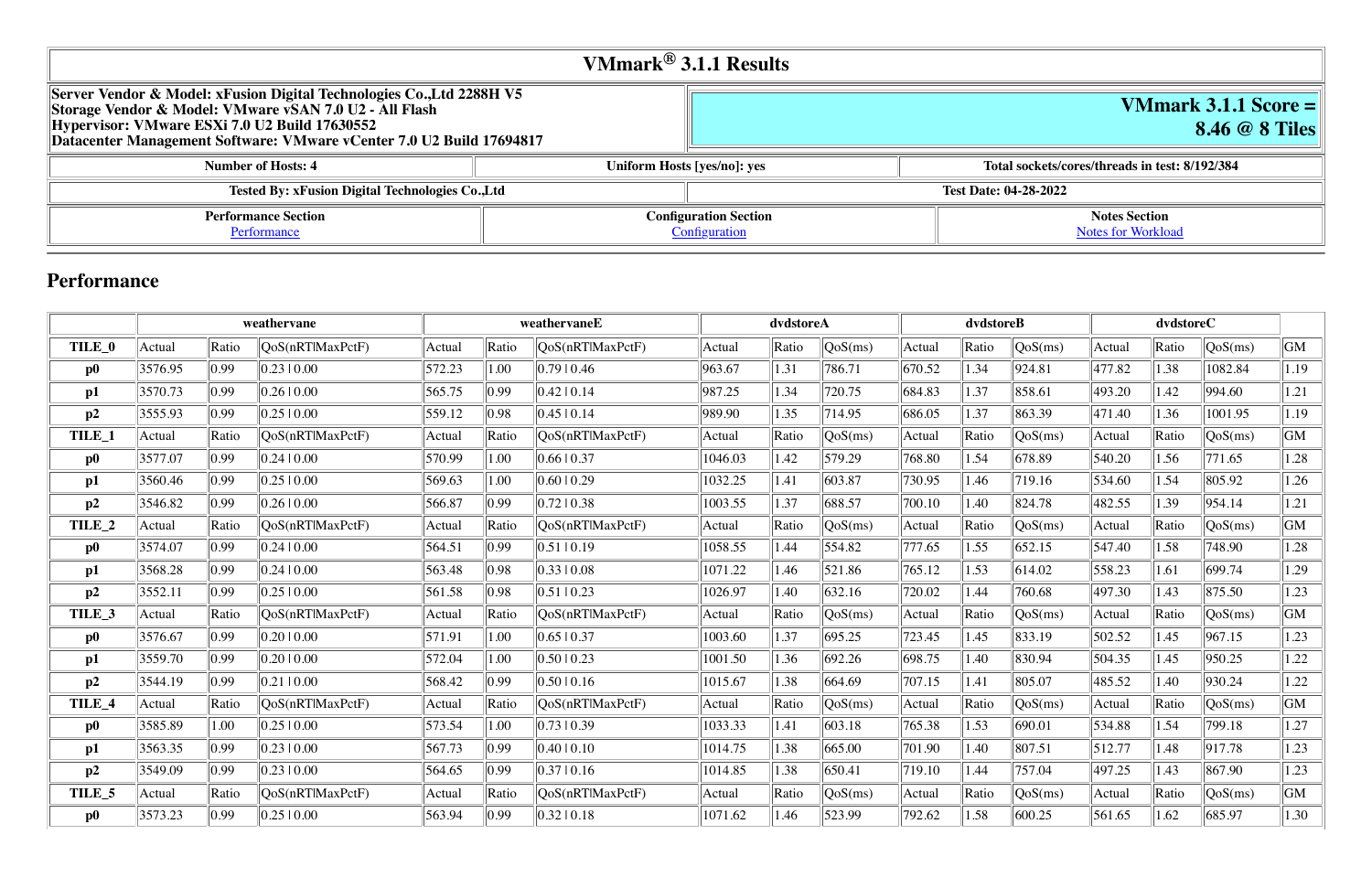# **VMmark 3.1.1 Score = 8.46 @ 8 Tiles**

#### **Number of Number System Hosts: 8/192/384**

#### **Notes Section** [Notes for Workload](file:///Users/griderr/Documents/ReviewPanel/0419/2022-05-04-xFusion.html#NotesForWorkload)

|                                                                                                                                                                                                                                                            | VMmark $^{\circledR}$ 3.1.1 Results           |                              |                        |  |  |  |  |
|------------------------------------------------------------------------------------------------------------------------------------------------------------------------------------------------------------------------------------------------------------|-----------------------------------------------|------------------------------|------------------------|--|--|--|--|
| Server Vendor & Model: xFusion Digital Technologies Co., Ltd 2288H V5<br>  Storage Vendor & Model: VMware vSAN 7.0 U2 - All Flash<br>Hypervisor: VMware ESXi 7.0 U2 Build 17630552<br>Datacenter Management Software: VMware vCenter 7.0 U2 Build 17694817 |                                               |                              |                        |  |  |  |  |
| <b>Number of Hosts: 4</b>                                                                                                                                                                                                                                  |                                               | Uniform Hosts [yes/no]: yes  | <b>Total sockets/c</b> |  |  |  |  |
| <b>Tested By: xFusion Digital Technologies Co., Ltd</b>                                                                                                                                                                                                    |                                               | <b>Test Date: 04-28-2022</b> |                        |  |  |  |  |
| <b>Performance Section</b><br>Performance                                                                                                                                                                                                                  | <b>Configuration Section</b><br>Configuration |                              |                        |  |  |  |  |

# **Performance**

|                   |         |       | weathervane      |        |       | weathervaneE     |         | dvdstoreA |                  | dvdstoreB |       |                  | dvdstoreC |       |                                |      |
|-------------------|---------|-------|------------------|--------|-------|------------------|---------|-----------|------------------|-----------|-------|------------------|-----------|-------|--------------------------------|------|
| TILE_0            | Actual  | Ratio | QoS(nRTlMaxPctF) | Actual | Ratio | QoS(nRTIMaxPctF) | Actual  | Ratio     | $\sqrt{QoS(ms)}$ | Actual    | Ratio | QoS(ms)          | Actual    | Ratio | QoS(ms)                        | GM   |
| $\bf p0$          | 3576.95 | 0.99  | 0.23 0.00        | 572.23 | 1.00  | 0.79 0.46        | 963.67  | 1.31      | 786.71           | 670.52    | 1.34  | 924.81           | 477.82    | 1.38  | 1082.84                        | 1.19 |
| p1                | 3570.73 | 0.99  | 0.26 0.00        | 565.75 | 0.99  | 0.42 10.14       | 987.25  | 1.34      | 720.75           | 684.83    | 1.37  | 858.61           | 493.20    | 1.42  | 994.60                         | 1.21 |
| p2                | 3555.93 | 0.99  | 0.25 0.00        | 559.12 | 0.98  | 0.45 10.14       | 989.90  | 1.35      | 714.95           | 686.05    | 1.37  | 863.39           | 471.40    | 1.36  | 1001.95                        | 1.19 |
| TILE_1            | Actual  | Ratio | QoS(nRTlMaxPctF) | Actual | Ratio | QoS(nRTlMaxPctF) | Actual  | Ratio     | QoS(ms)          | Actual    | Ratio | QoS(ms)          | Actual    | Ratio | QoS(ms)                        | GM   |
| $\bf p0$          | 3577.07 | 0.99  | 0.2410.00        | 570.99 | 1.00  | 0.6610.37        | 1046.03 | 1.42      | 579.29           | 768.80    | 1.54  | 678.89           | 540.20    | 1.56  | 771.65                         | 1.28 |
| p1                | 3560.46 | 0.99  | 0.2510.00        | 569.63 | 1.00  | 0.6010.29        | 1032.25 | 1.41      | 603.87           | 730.95    | 1.46  | 719.16           | 534.60    | 1.54  | 805.92                         | 1.26 |
| p2                | 3546.82 | 0.99  | 0.2610.00        | 566.87 | 0.99  | 0.7210.38        | 1003.55 | 1.37      | 688.57           | 700.10    | 1.40  | 824.78           | 482.55    | 1.39  | 954.14                         | 1.21 |
| TILE <sub>2</sub> | Actual  | Ratio | QoS(nRTlMaxPctF) | Actual | Ratio | QoS(nRTlMaxPctF) | Actual  | Ratio     | QoS(ms)          | Actual    | Ratio | QoS(ms)          | Actual    | Ratio | QoS(ms)                        | GM   |
| $\bf p0$          | 3574.07 | 0.99  | 0.2410.00        | 564.51 | 0.99  | $ 0.51 $ 0.19    | 1058.55 | 1.44      | 554.82           | 777.65    | 1.55  | 652.15           | 547.40    | 1.58  | 748.90                         | 1.28 |
| p1                | 3568.28 | 0.99  | 0.24 0.00        | 563.48 | 0.98  | 0.3310.08        | 1071.22 | 1.46      | 521.86           | 765.12    | 1.53  | 614.02           | 558.23    | 1.61  | 699.74                         | 1.29 |
| p2                | 3552.11 | 0.99  | 0.2510.00        | 561.58 | 0.98  | $ 0.51 $ 0.23    | 1026.97 | 1.40      | 632.16           | 720.02    | 1.44  | 760.68           | 497.30    | 1.43  | 875.50                         | 1.23 |
| TILE_3            | Actual  | Ratio | QoS(nRTlMaxPctF) | Actual | Ratio | QoS(nRT MaxPctF) | Actual  | Ratio     | QoS(ms)          | Actual    | Ratio | QoS(ms)          | Actual    | Ratio | QoS(ms)                        | GM   |
| $\bf p0$          | 3576.67 | 0.99  | 0.2010.00        | 571.91 | 1.00  | 0.6510.37        | 1003.60 | 1.37      | 695.25           | 723.45    | 1.45  | 833.19           | 502.52    | 1.45  | 967.15                         | 1.23 |
| p1                | 3559.70 | 0.99  | 0.20 0.00        | 572.04 | 1.00  | 0.50 0.23        | 1001.50 | 1.36      | 692.26           | 698.75    | 1.40  | 830.94           | 504.35    | 1.45  | 950.25                         | 1.22 |
| p2                | 3544.19 | 0.99  | 0.2110.00        | 568.42 | 0.99  | 0.50 0.16        | 1015.67 | 1.38      | 664.69           | 707.15    | 1.41  | 805.07           | 485.52    | 1.40  | 930.24                         | 1.22 |
| TILE_4            | Actual  | Ratio | QoS(nRTlMaxPctF) | Actual | Ratio | QoS(nRT MaxPctF) | Actual  | Ratio     | QoS(ms)          | Actual    | Ratio | QoS(ms)          | Actual    | Ratio | $\sqrt{\text{QoS}(\text{ms})}$ | GM   |
| $\bf p0$          | 3585.89 | 1.00  | 0.25 0.00        | 573.54 | 1.00  | 0.7310.39        | 1033.33 | 1.41      | 603.18           | 765.38    | 1.53  | 690.01           | 534.88    | 1.54  | 799.18                         | 1.27 |
| p1                | 3563.35 | 0.99  | 0.23 0.00        | 567.73 | 0.99  | 0.4010.10        | 1014.75 | 1.38      | 665.00           | 701.90    | 1.40  | 807.51           | 512.77    | 1.48  | 917.78                         | 1.23 |
| p2                | 3549.09 | 0.99  | 0.2310.00        | 564.65 | 0.99  | 0.37 10.16       | 1014.85 | 1.38      | 650.41           | 719.10    | 1.44  | 757.04           | 497.25    | 1.43  | 867.90                         | 1.23 |
| TILE <sub>5</sub> | Actual  | Ratio | QoS(nRTlMaxPctF) | Actual | Ratio | QoS(nRT MaxPctF) | Actual  | Ratio     | QoS(ms)          | Actual    | Ratio | $\sqrt{QoS(ms)}$ | Actual    | Ratio | $\sqrt{\text{QoS}(\text{ms})}$ | GM   |
| $\bf p0$          | 3573.23 | 0.99  | 0.2510.00        | 563.94 | 0.99  | 0.3210.18        | 1071.62 | 1.46      | 523.99           | 792.62    | 1.58  | 600.25           | 561.65    | 1.62  | 685.97                         | 1.30 |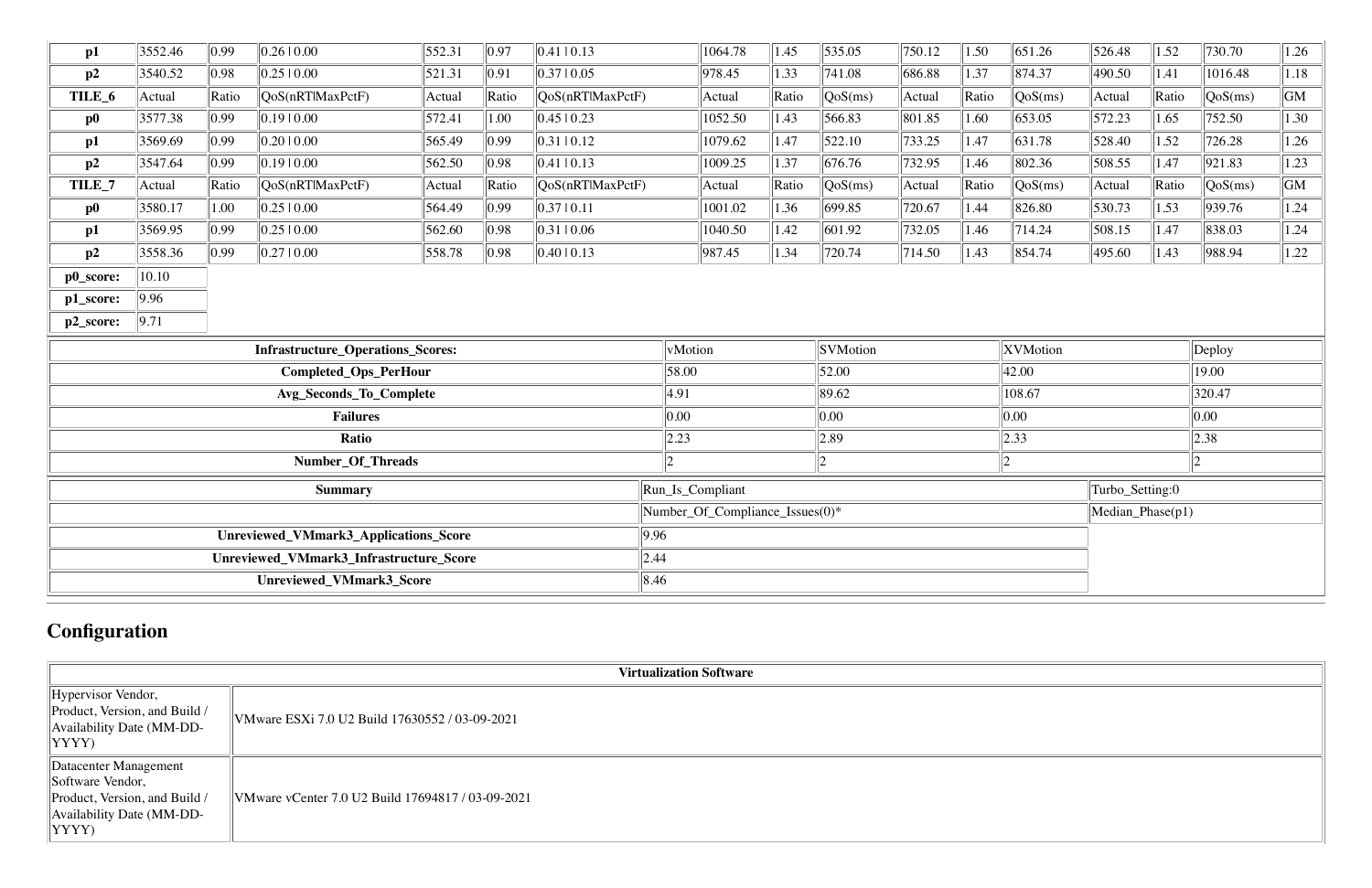| p1                                      | 3552.46 | 0.99  | 0.2610.00                                | 552.31                              | 0.97                            | 0.41 10.13               |                                 | 1064.78 | 1.45  | $\frac{1}{535.05}$ | 750.12           | 1.50        | 651.26   | 526.48 | 1.52  | 730.70     | 1.26               |
|-----------------------------------------|---------|-------|------------------------------------------|-------------------------------------|---------------------------------|--------------------------|---------------------------------|---------|-------|--------------------|------------------|-------------|----------|--------|-------|------------|--------------------|
| p2                                      | 3540.52 | 0.98  | 0.2510.00                                | 521.31                              | 0.91                            | 0.3710.05                |                                 | 978.45  | 1.33  | 741.08             | 686.88           | 1.37        | 874.37   | 490.50 | 1.41  | 1016.48    | $1.18$             |
| TILE_6                                  | Actual  | Ratio | QoS(nRTlMaxPctF)                         | Actual                              | Ratio                           | QoS(nRTlMaxPctF)         |                                 | Actual  | Ratio | QoS(ms)            | Actual           | Ratio       | QoS(ms)  | Actual | Ratio | QoS(ms)    | $\overline{G}M$    |
| $\bf p0$                                | 3577.38 | 0.99  | 0.1910.00                                | 572.41                              | 1.00                            | $0.45 \mid 0.23$         |                                 | 1052.50 | 1.43  | 566.83             | 801.85           | 1.60        | 653.05   | 572.23 | 1.65  | 752.50     | 1.30               |
| p1                                      | 3569.69 | 0.99  | 0.2010.00                                | 565.49                              | $ 0.99\rangle$                  | $ 0.31 $ 0.12            |                                 | 1079.62 | 1.47  | 522.10             | 733.25           | 1.47        | 631.78   | 528.40 | 1.52  | 726.28     | 1.26               |
| p2                                      | 3547.64 | 0.99  | 0.19 0.00                                | 562.50                              | 0.98                            | 0.41 10.13               |                                 | 1009.25 | 1.37  | 676.76             | 732.95           | 1.46        | 802.36   | 508.55 | 1.47  | 921.83     | 1.23               |
| TILE_7                                  | Actual  | Ratio | QoS(nRTlMaxPctF)                         | Actual                              | Ratio                           | $\sqrt{QoS(nRT)MaxPctF}$ |                                 | Actual  | Ratio | QoS(ms)            | Actual           | Ratio       | QoS(ms)  | Actual | Ratio | QoS(ms)    | $\vert$ GM $\vert$ |
| $\bf p0$                                | 3580.17 | 1.00  | 0.2510.00                                | 564.49                              | $ 0.99\rangle$                  | 0.3710.11                |                                 | 1001.02 | 1.36  | 699.85             | 720.67           | 1.44        | 826.80   | 530.73 | 1.53  | 939.76     | 1.24               |
| p1                                      | 3569.95 | 0.99  | 0.2510.00                                | 562.60                              | 0.98                            | 0.31 0.06                |                                 | 1040.50 | 1.42  | 601.92             | 732.05           | 1.46        | 714.24   | 508.15 | 1.47  | 838.03     | 1.24               |
| p2                                      | 3558.36 | 0.99  | 0.2710.00                                | 558.78                              | 0.98                            | 0.4010.13                |                                 | 987.45  | 1.34  | 720.74             | $\ 714.50$       | 1.43        | 854.74   | 495.60 | 1.43  | 988.94     | 1.22               |
| p0_score:                               | 10.10   |       |                                          |                                     |                                 |                          |                                 |         |       |                    |                  |             |          |        |       |            |                    |
| p1_score:                               | 9.96    |       |                                          |                                     |                                 |                          |                                 |         |       |                    |                  |             |          |        |       |            |                    |
| p2_score:                               | 9.71    |       |                                          |                                     |                                 |                          |                                 |         |       |                    |                  |             |          |        |       |            |                    |
|                                         |         |       | <b>Infrastructure_Operations_Scores:</b> |                                     |                                 |                          | vMotion                         |         |       | <b>SVMotion</b>    |                  |             | XVMotion |        |       | Deploy     |                    |
|                                         |         |       | Completed_Ops_PerHour                    |                                     |                                 |                          | 58.00                           |         |       | 52.00              |                  |             | 42.00    |        |       | 19.00      |                    |
|                                         |         |       | <b>Avg_Seconds_To_Complete</b>           |                                     |                                 |                          | 89.62<br>4.91<br>108.67         |         |       |                    | 320.47           |             |          |        |       |            |                    |
|                                         |         |       | <b>Failures</b>                          |                                     |                                 |                          | 0.00                            |         |       | 0.00               |                  |             | 0.00     |        |       | $\ 0.00\ $ |                    |
|                                         |         |       | Ratio                                    |                                     |                                 |                          | 2.23<br>$ 2.89\rangle$<br> 2.33 |         |       | $\ 2.38\ $         |                  |             |          |        |       |            |                    |
|                                         |         |       | Number_Of_Threads                        |                                     |                                 |                          | $\overline{2}$                  |         |       | $\mathsf{L}$       |                  | $ 2\rangle$ |          |        |       | In.        |                    |
| <b>Summary</b>                          |         |       |                                          | Run_Is_Compliant<br>Turbo_Setting:0 |                                 |                          |                                 |         |       |                    |                  |             |          |        |       |            |                    |
|                                         |         |       |                                          |                                     | Number_Of_Compliance_Issues(0)* |                          |                                 |         |       |                    | Median_Phase(p1) |             |          |        |       |            |                    |
| Unreviewed_VMmark3_Applications_Score   |         |       |                                          |                                     | 9.96                            |                          |                                 |         |       |                    |                  |             |          |        |       |            |                    |
| Unreviewed_VMmark3_Infrastructure_Score |         |       |                                          |                                     | 2.44                            |                          |                                 |         |       |                    |                  |             |          |        |       |            |                    |
|                                         |         |       | Unreviewed_VMmark3_Score                 |                                     |                                 | 8.46                     |                                 |         |       |                    |                  |             |          |        |       |            |                    |

# **Configuration**

|                                                                                                                                       | <b>Virtualization Software</b>                    |
|---------------------------------------------------------------------------------------------------------------------------------------|---------------------------------------------------|
| $\parallel$ Hypervisor Vendor,<br>Product, Version, and Build /<br>$\parallel$ Availability Date (MM-DD-<br>$ YYYY\rangle$            | VMware ESXi 7.0 U2 Build 17630552 / 03-09-2021    |
| Datacenter Management<br>Software Vendor,<br>Product, Version, and Build /<br>$\parallel$ Availability Date (MM-DD-<br>$ YYYY\rangle$ | VMware vCenter 7.0 U2 Build 17694817 / 03-09-2021 |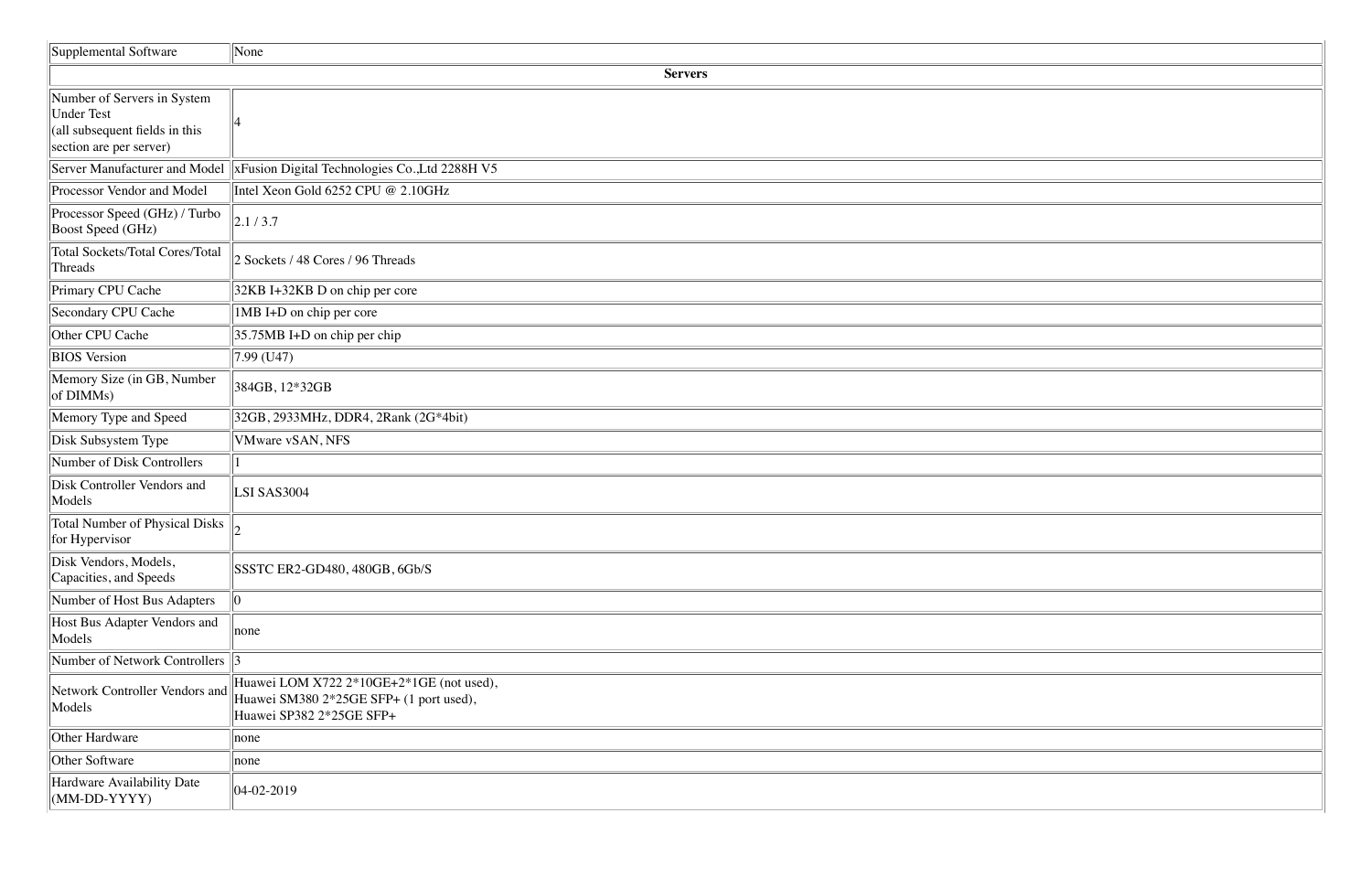| Supplemental Software                                                                                         | None                                                                                                            |
|---------------------------------------------------------------------------------------------------------------|-----------------------------------------------------------------------------------------------------------------|
|                                                                                                               | <b>Servers</b>                                                                                                  |
| Number of Servers in System<br><b>Under Test</b><br>(all subsequent fields in this<br>section are per server) |                                                                                                                 |
| Server Manufacturer and Model                                                                                 | xFusion Digital Technologies Co., Ltd 2288H V5                                                                  |
| Processor Vendor and Model                                                                                    | Intel Xeon Gold 6252 CPU @ 2.10GHz                                                                              |
| Processor Speed (GHz) / Turbo<br>Boost Speed (GHz)                                                            | 2.1/3.7                                                                                                         |
| <b>Total Sockets/Total Cores/Total</b><br>Threads                                                             | 2 Sockets / 48 Cores / 96 Threads                                                                               |
| Primary CPU Cache                                                                                             | 32KB I+32KB D on chip per core                                                                                  |
| Secondary CPU Cache                                                                                           | 1MB I+D on chip per core                                                                                        |
| Other CPU Cache                                                                                               | $35.75MB$ I+D on chip per chip                                                                                  |
| <b>BIOS</b> Version                                                                                           | $7.99$ (U47)                                                                                                    |
| Memory Size (in GB, Number<br>of DIMMs)                                                                       | 384GB, 12*32GB                                                                                                  |
| Memory Type and Speed                                                                                         | 32GB, 2933MHz, DDR4, 2Rank (2G*4bit)                                                                            |
| Disk Subsystem Type                                                                                           | VMware vSAN, NFS                                                                                                |
| Number of Disk Controllers                                                                                    |                                                                                                                 |
| Disk Controller Vendors and<br>Models                                                                         | LSI SAS3004                                                                                                     |
| <b>Total Number of Physical Disks</b><br>for Hypervisor                                                       |                                                                                                                 |
| Disk Vendors, Models,<br>Capacities, and Speeds                                                               | SSSTC ER2-GD480, 480GB, 6Gb/S                                                                                   |
| Number of Host Bus Adapters                                                                                   | 10                                                                                                              |
| Host Bus Adapter Vendors and<br>Models                                                                        | none                                                                                                            |
| Number of Network Controllers                                                                                 |                                                                                                                 |
| Network Controller Vendors and<br>Models                                                                      | Huawei LOM X722 2*10GE+2*1GE (not used),<br>Huawei SM380 2*25GE SFP+ (1 port used),<br>Huawei SP382 2*25GE SFP+ |
| Other Hardware                                                                                                | none                                                                                                            |
| Other Software                                                                                                | none                                                                                                            |
| Hardware Availability Date<br>$(MM-DD-YYYY)$                                                                  | $ 04-02-2019$                                                                                                   |

| <u> 1989 - Johann Stoff, deutscher Stoff als der Stoff als der Stoff als der Stoff als der Stoff als der Stoff al</u> |  |
|-----------------------------------------------------------------------------------------------------------------------|--|
|                                                                                                                       |  |
|                                                                                                                       |  |
|                                                                                                                       |  |
|                                                                                                                       |  |
| ,我们也不会不会不会。""我们的人,我们也不会不会不会。""我们的人,我们也不会不会不会。""我们的人,我们也不会不会不会。""我们的人,我们的人,我们的人,我                                      |  |
|                                                                                                                       |  |
| the contract of the contract of the contract of the contract of the contract of the contract of the contract of       |  |
|                                                                                                                       |  |
|                                                                                                                       |  |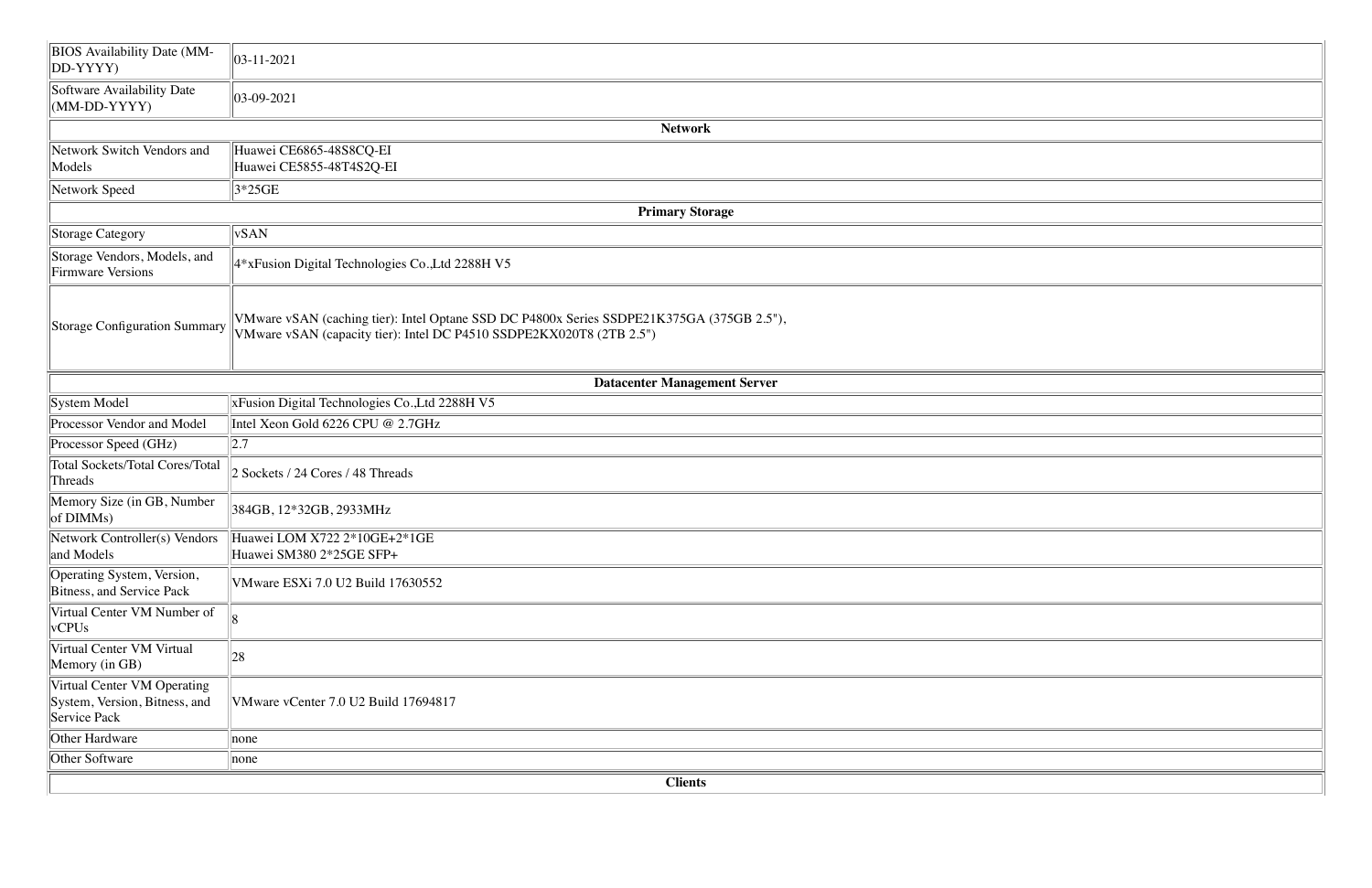| <b>BIOS</b> Availability Date (MM-<br>DD-YYYY)                               | $\vert$ 03-11-2021                                                                                                                                                |
|------------------------------------------------------------------------------|-------------------------------------------------------------------------------------------------------------------------------------------------------------------|
| Software Availability Date<br>$(MM-DD-YYYY)$                                 | $ 03-09-2021$                                                                                                                                                     |
|                                                                              | <b>Network</b>                                                                                                                                                    |
| Network Switch Vendors and<br>Models                                         | Huawei CE6865-48S8CQ-EI<br>Huawei CE5855-48T4S2Q-EI                                                                                                               |
| Network Speed                                                                | $3*25GE$                                                                                                                                                          |
|                                                                              | <b>Primary Storage</b>                                                                                                                                            |
| <b>Storage Category</b>                                                      | <b>vSAN</b>                                                                                                                                                       |
| Storage Vendors, Models, and<br><b>Firmware Versions</b>                     | 4*xFusion Digital Technologies Co., Ltd 2288H V5                                                                                                                  |
| <b>Storage Configuration Summary</b>                                         | VMware vSAN (caching tier): Intel Optane SSD DC P4800x Series SSDPE21K375GA (375GB 2.5"),<br>VMware vSAN (capacity tier): Intel DC P4510 SSDPE2KX020T8 (2TB 2.5") |
|                                                                              | <b>Datacenter Management Server</b>                                                                                                                               |
| System Model                                                                 | xFusion Digital Technologies Co., Ltd 2288H V5                                                                                                                    |
| Processor Vendor and Model                                                   | Intel Xeon Gold 6226 CPU @ 2.7GHz                                                                                                                                 |
| Processor Speed (GHz)                                                        | 2.7                                                                                                                                                               |
| <b>Total Sockets/Total Cores/Total</b><br>Threads                            | 2 Sockets / 24 Cores / 48 Threads                                                                                                                                 |
| Memory Size (in GB, Number<br>of DIMMs)                                      | 384GB, 12*32GB, 2933MHz                                                                                                                                           |
| Network Controller(s) Vendors<br>and Models                                  | Huawei LOM X722 $2*10GE+2*1GE$<br>Huawei SM380 2*25GE SFP+                                                                                                        |
| Operating System, Version,<br>Bitness, and Service Pack                      | VMware ESXi 7.0 U2 Build 17630552                                                                                                                                 |
| Virtual Center VM Number of<br>vCPUs                                         |                                                                                                                                                                   |
| Virtual Center VM Virtual<br>Memory (in GB)                                  | 28                                                                                                                                                                |
| Virtual Center VM Operating<br>System, Version, Bitness, and<br>Service Pack | VMware vCenter 7.0 U2 Build 17694817                                                                                                                              |
| Other Hardware                                                               | none                                                                                                                                                              |
| Other Software                                                               | none                                                                                                                                                              |
|                                                                              | <b>Clients</b>                                                                                                                                                    |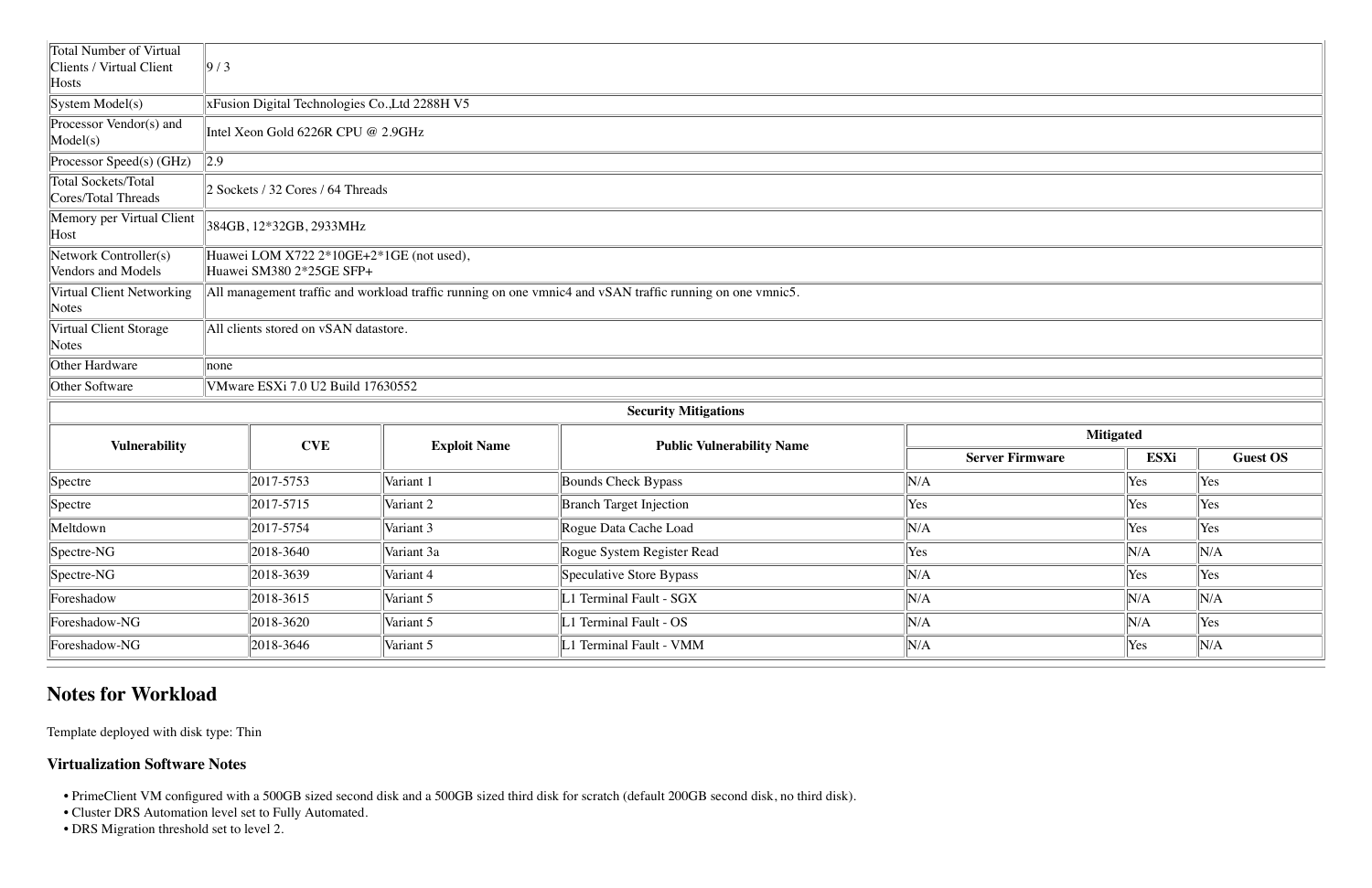| Total Number of Virtual                            |                   |                                                                      |                     |                                                                                                           |                        |      |     |  |  |
|----------------------------------------------------|-------------------|----------------------------------------------------------------------|---------------------|-----------------------------------------------------------------------------------------------------------|------------------------|------|-----|--|--|
| Clients / Virtual Client<br>$\parallel$ Hosts      | $\vert 9/3 \vert$ |                                                                      |                     |                                                                                                           |                        |      |     |  |  |
| $\left {\rm System\;Model(s)}\right\rangle$        |                   | xFusion Digital Technologies Co., Ltd 2288H V5                       |                     |                                                                                                           |                        |      |     |  |  |
| Processor Vendor(s) and<br>$\text{Model}(s)$       |                   | Intel Xeon Gold 6226R CPU @ 2.9GHz                                   |                     |                                                                                                           |                        |      |     |  |  |
| $\Gamma$ Processor Speed(s) (GHz)                  | $\vert$ 2.9       |                                                                      |                     |                                                                                                           |                        |      |     |  |  |
| Total Sockets/Total<br>Cores/Total Threads         |                   | 2 Sockets / 32 Cores / 64 Threads                                    |                     |                                                                                                           |                        |      |     |  |  |
| Memory per Virtual Client<br>$\Vert$ Host          |                   | 384GB, 12*32GB, 2933MHz                                              |                     |                                                                                                           |                        |      |     |  |  |
| Network Controller(s)<br>Vendors and Models        |                   | Huawei LOM X722 2*10GE+2*1GE (not used),<br>Huawei SM380 2*25GE SFP+ |                     |                                                                                                           |                        |      |     |  |  |
| Virtual Client Networking<br>$\sqrt{\text{Notes}}$ |                   |                                                                      |                     | All management traffic and workload traffic running on one vmnic4 and vSAN traffic running on one vmnic5. |                        |      |     |  |  |
| Virtual Client Storage<br>$\sqrt{\text{Notes}}$    |                   | All clients stored on vSAN datastore.                                |                     |                                                                                                           |                        |      |     |  |  |
| Other Hardware                                     | none              |                                                                      |                     |                                                                                                           |                        |      |     |  |  |
| Other Software                                     |                   | VMware ESXi 7.0 U2 Build 17630552                                    |                     |                                                                                                           |                        |      |     |  |  |
|                                                    |                   |                                                                      |                     | <b>Security Mitigations</b>                                                                               |                        |      |     |  |  |
|                                                    | <b>Mitigated</b>  |                                                                      |                     |                                                                                                           |                        |      |     |  |  |
| <b>Vulnerability</b>                               |                   | <b>CVE</b>                                                           | <b>Exploit Name</b> | <b>Public Vulnerability Name</b>                                                                          | <b>Server Firmware</b> | ESXi |     |  |  |
| $\sqrt{\text{Spectre}}$                            |                   | 2017-5753                                                            | Variant 1           | Bounds Check Bypass                                                                                       | $\ N/A$                | Yes  | Yes |  |  |

| $\sqrt{\text{Spectre}}$     | $\vert 2017 - 5753 \vert$ | Variant 1  | Bounds Check Bypass            | N/A  | Yes<br><b>Yes</b> |
|-----------------------------|---------------------------|------------|--------------------------------|------|-------------------|
| $\sqrt{\text{Spectre}}$     | $\vert 2017 - 5715 \vert$ | Variant 2  | <b>Branch Target Injection</b> | Yes  | Yes<br>Yes        |
| Meltdown                    | 2017-5754                 | Variant 3  | Rogue Data Cache Load          | 'N/A | Yes<br>Yes        |
| $\sqrt{\text{Spective-NG}}$ | 2018-3640                 | Variant 3a | Rogue System Register Read     | Yes  | N/A<br>N/A        |
| $\sqrt{\text{Spective-NG}}$ | 2018-3639                 | Variant 4  | Speculative Store Bypass       | N/A  | Yes<br>Yes        |
| Foreshadow                  | 2018-3615                 | Variant 5  | L1 Terminal Fault - SGX        | N/A  | N/A<br>N/A        |
| Foreshadow-NG               | 2018-3620                 | Variant 5  | L1 Terminal Fault - OS         | N/A  | Yes<br>N/A        |
| Foreshadow-NG               | 2018-3646                 | Variant 5  | L1 Terminal Fault - VMM        | 'N/A | N/A<br>Yes        |
|                             |                           |            |                                |      |                   |

## **Notes for Workload**

Template deployed with disk type: Thin

### **Virtualization Software Notes**

- PrimeClient VM configured with a 500GB sized second disk and a 500GB sized third disk for scratch (default 200GB second disk, no third disk).
- Cluster DRS Automation level set to Fully Automated.
- DRS Migration threshold set to level 2.

|                        | <b>Mitigated</b> |                 |
|------------------------|------------------|-----------------|
| <b>Server Firmware</b> | <b>ESXi</b>      | <b>Guest OS</b> |
|                        | Yes              | Yes             |
|                        | Yes              | Yes             |
|                        | Yes              | Yes             |
|                        | N/A              | N/A             |
|                        | Yes              | Yes             |
|                        | N/A              | N/A             |
|                        | N/A              | Yes             |
|                        | Yes              | N/A             |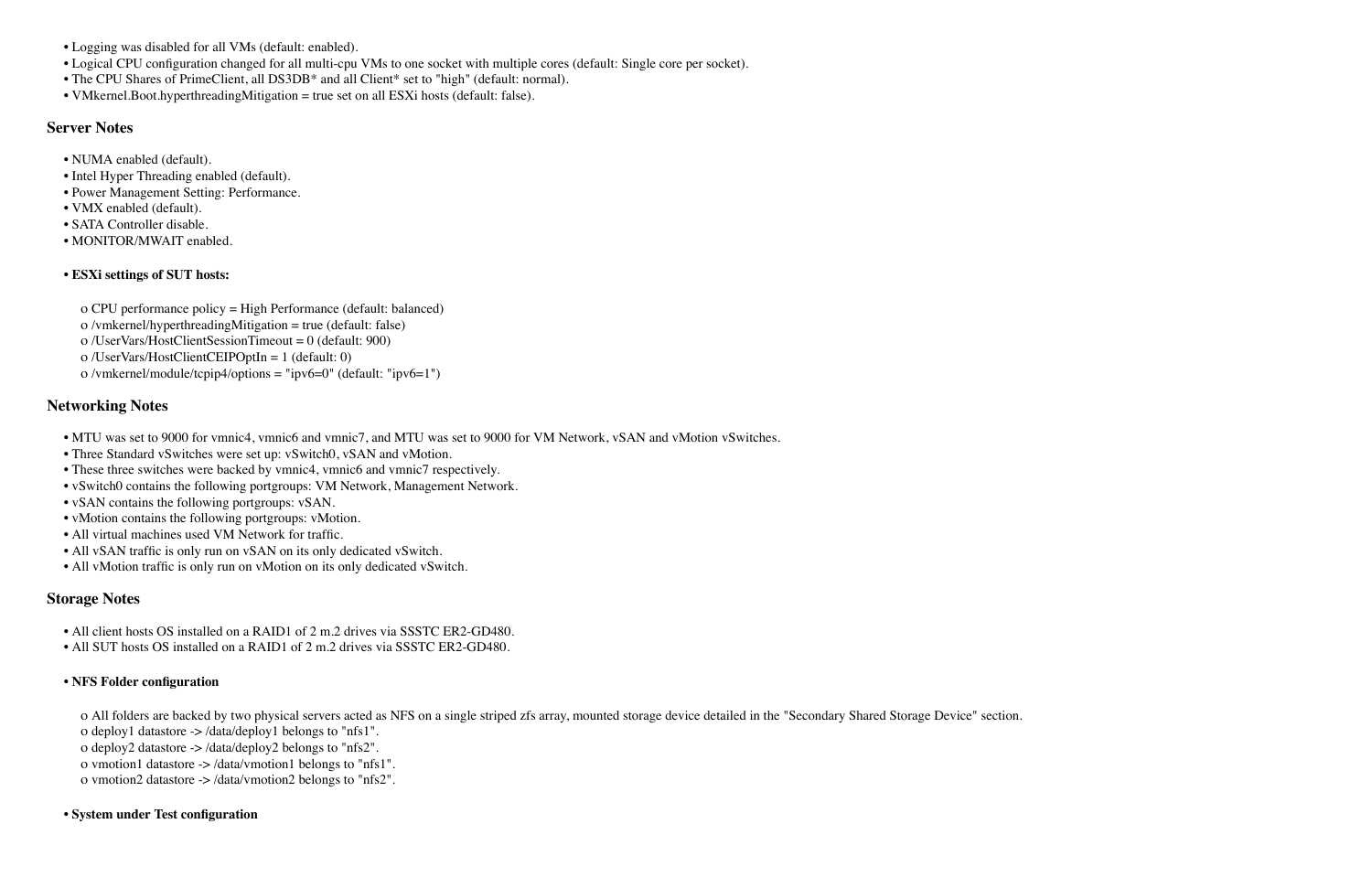- Logging was disabled for all VMs (default: enabled).
- Logical CPU configuration changed for all multi-cpu VMs to one socket with multiple cores (default: Single core per socket).
- The CPU Shares of PrimeClient, all DS3DB\* and all Client\* set to "high" (default: normal).
- VMkernel.Boot.hyperthreadingMitigation = true set on all ESXi hosts (default: false).

#### **Server Notes**

- NUMA enabled (default).
- Intel Hyper Threading enabled (default).
- Power Management Setting: Performance.
- VMX enabled (default).
- SATA Controller disable.
- MONITOR/MWAIT enabled.

#### **• ESXi settings of SUT hosts:**

- ο CPU performance policy = High Performance (default: balanced)
- ο /vmkernel/hyperthreadingMitigation = true (default: false)
- ο /UserVars/HostClientSessionTimeout = 0 (default: 900)
- ο /UserVars/HostClientCEIPOptIn = 1 (default: 0)
- ο /vmkernel/module/tcpip4/options = "ipv6=0" (default: "ipv6=1")

- All client hosts OS installed on a RAID1 of 2 m.2 drives via SSSTC ER2-GD480.
- All SUT hosts OS installed on a RAID1 of 2 m.2 drives via SSSTC ER2-GD480.

#### **Networking Notes**

- MTU was set to 9000 for vmnic4, vmnic6 and vmnic7, and MTU was set to 9000 for VM Network, vSAN and vMotion vSwitches.
- Three Standard vSwitches were set up: vSwitch0, vSAN and vMotion.
- These three switches were backed by vmnic4, vmnic6 and vmnic7 respectively.
- vSwitch0 contains the following portgroups: VM Network, Management Network.
- vSAN contains the following portgroups: vSAN.
- vMotion contains the following portgroups: vMotion.
- All virtual machines used VM Network for traffic.
- All vSAN traffic is only run on vSAN on its only dedicated vSwitch.
- All vMotion traffic is only run on vMotion on its only dedicated vSwitch.

#### **Storage Notes**

#### **• NFS Folder configuration**

ο All folders are backed by two physical servers acted as NFS on a single striped zfs array, mounted storage device detailed in the "Secondary Shared Storage Device" section. ο deploy1 datastore -> /data/deploy1 belongs to "nfs1".

- ο deploy2 datastore -> /data/deploy2 belongs to "nfs2".
- ο vmotion1 datastore -> /data/vmotion1 belongs to "nfs1".
- ο vmotion2 datastore -> /data/vmotion2 belongs to "nfs2".

#### **• System under Test configuration**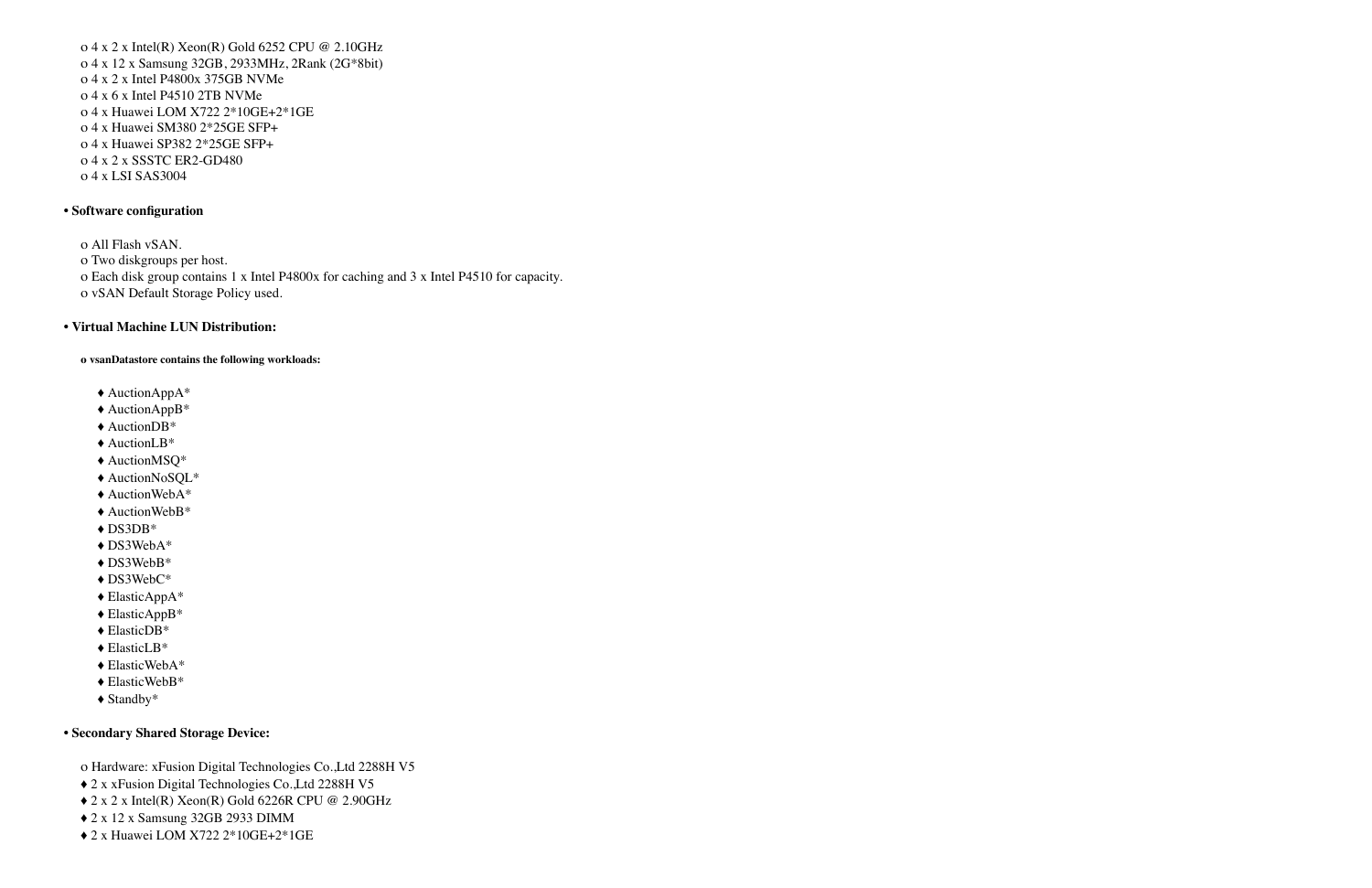ο 4 x 2 x Intel(R) Xeon(R) Gold 6252 CPU @ 2.10GHz ο 4 x 12 x Samsung 32GB, 2933MHz, 2Rank (2G\*8bit) ο 4 x 2 x Intel P4800x 375GB NVMe ο 4 x 6 x Intel P4510 2TB NVMe ο 4 x Huawei LOM X722 2\*10GE+2\*1GE ο 4 x Huawei SM380 2\*25GE SFP+ ο 4 x Huawei SP382 2\*25GE SFP+ ο 4 x 2 x SSSTC ER2-GD480 ο 4 x LSI SAS3004

#### **• Software configuration**

ο All Flash vSAN. ο Two diskgroups per host. ο Each disk group contains 1 x Intel P4800x for caching and 3 x Intel P4510 for capacity. ο vSAN Default Storage Policy used.

#### **• Virtual Machine LUN Distribution:**

**ο vsanDatastore contains the following workloads:**

- ♦ AuctionAppA\*
- ♦ AuctionAppB\*
- ♦ AuctionDB\*
- ♦ AuctionLB\*
- ♦ AuctionMSQ\*
- ♦ AuctionNoSQL\*
- ♦ AuctionWebA\*
- ♦ AuctionWebB\*
- ♦ DS3DB\*
- ♦ DS3WebA\*
- ♦ DS3WebB\*
- ♦ DS3WebC\*
- ♦ ElasticAppA\*
- ♦ ElasticAppB\*
- ♦ ElasticDB\*
- ♦ ElasticLB\*
- ♦ ElasticWebA\*
- ♦ ElasticWebB\*
- ♦ Standby\*

#### **• Secondary Shared Storage Device:**

ο Hardware: xFusion Digital Technologies Co.,Ltd 2288H V5

- ♦ 2 x xFusion Digital Technologies Co.,Ltd 2288H V5
- ♦ 2 x 2 x Intel(R) Xeon(R) Gold 6226R CPU @ 2.90GHz
- ♦ 2 x 12 x Samsung 32GB 2933 DIMM
- ♦ 2 x Huawei LOM X722 2\*10GE+2\*1GE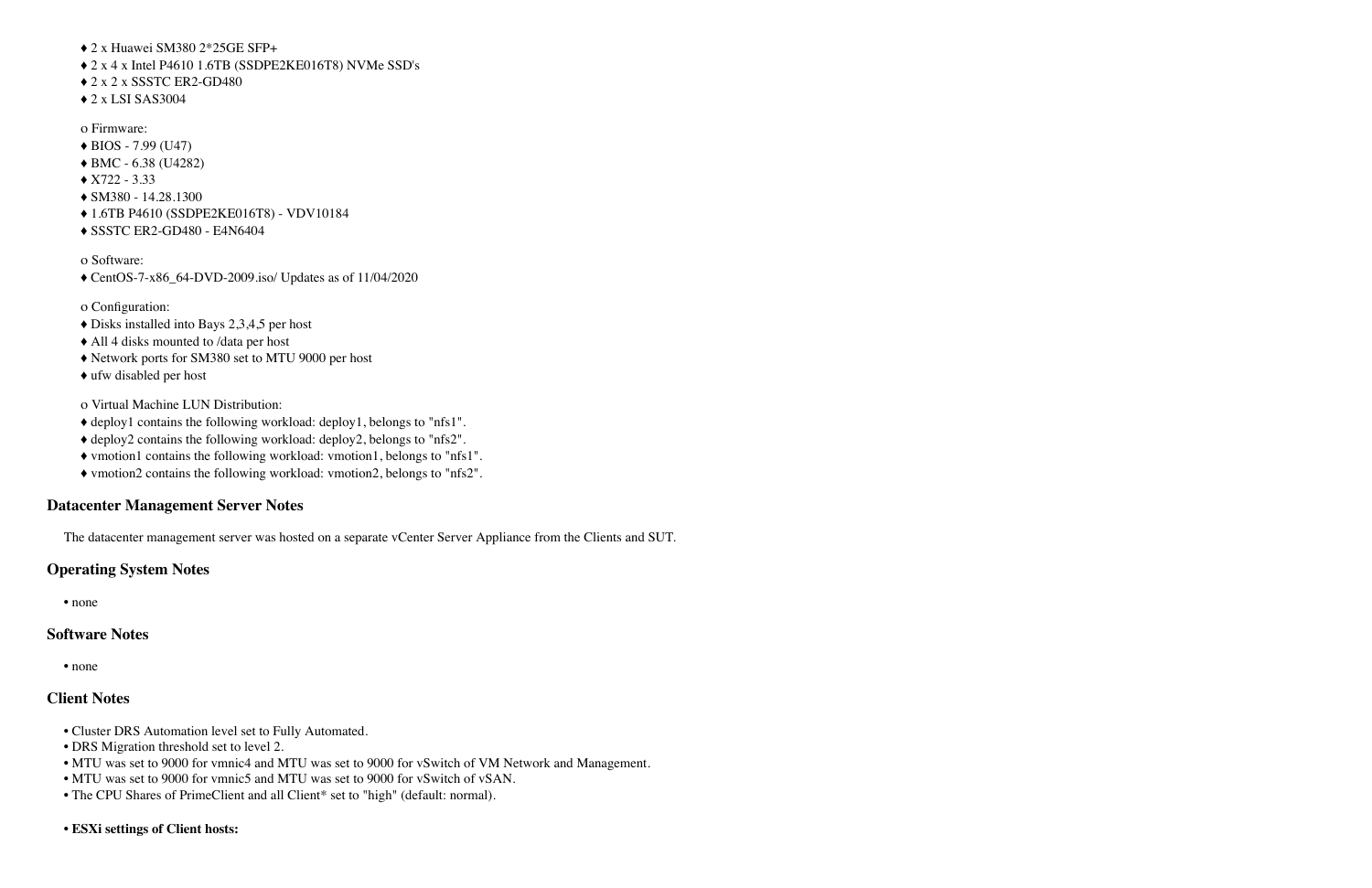♦ 2 x Huawei SM380 2\*25GE SFP+ ♦ 2 x 4 x Intel P4610 1.6TB (SSDPE2KE016T8) NVMe SSD's ♦ 2 x 2 x SSSTC ER2-GD480  $\triangle$  2 x LSI SAS3004

- ο Firmware:  $\triangle$  BIOS - 7.99 (U47) ♦ BMC - 6.38 (U4282)  $\triangle$  X722 - 3.33 ♦ SM380 - 14.28.1300 ♦ 1.6TB P4610 (SSDPE2KE016T8) - VDV10184
- ♦ SSSTC ER2-GD480 E4N6404

ο Software:

♦ CentOS-7-x86\_64-DVD-2009.iso/ Updates as of 11/04/2020

ο Configuration:

- ♦ Disks installed into Bays 2,3,4,5 per host
- ♦ All 4 disks mounted to /data per host
- ♦ Network ports for SM380 set to MTU 9000 per host
- ♦ ufw disabled per host

ο Virtual Machine LUN Distribution:

- ♦ deploy1 contains the following workload: deploy1, belongs to "nfs1".
- ♦ deploy2 contains the following workload: deploy2, belongs to "nfs2".
- ♦ vmotion1 contains the following workload: vmotion1, belongs to "nfs1".
- ♦ vmotion2 contains the following workload: vmotion2, belongs to "nfs2".

#### **Datacenter Management Server Notes**

The datacenter management server was hosted on a separate vCenter Server Appliance from the Clients and SUT.

#### **Operating System Notes**

• none

#### **Software Notes**

• none

#### **Client Notes**

- Cluster DRS Automation level set to Fully Automated.
- DRS Migration threshold set to level 2.
- MTU was set to 9000 for vmnic4 and MTU was set to 9000 for vSwitch of VM Network and Management.
- MTU was set to 9000 for vmnic5 and MTU was set to 9000 for vSwitch of vSAN.
- The CPU Shares of PrimeClient and all Client\* set to "high" (default: normal).
- **ESXi settings of Client hosts:**